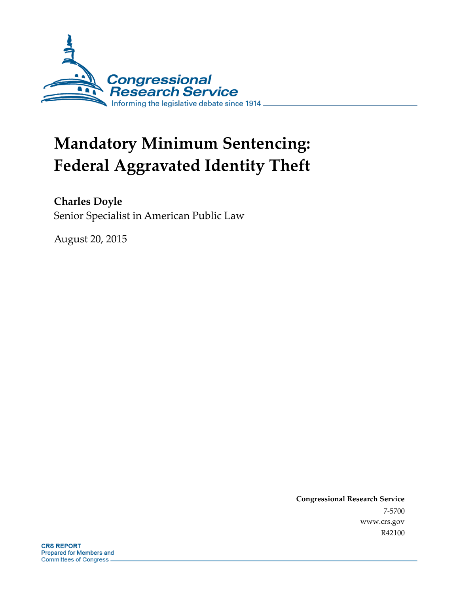

# **Mandatory Minimum Sentencing: Federal Aggravated Identity Theft**

**Charles Doyle** Senior Specialist in American Public Law

August 20, 2015

**Congressional Research Service** 7-5700 www.crs.gov R42100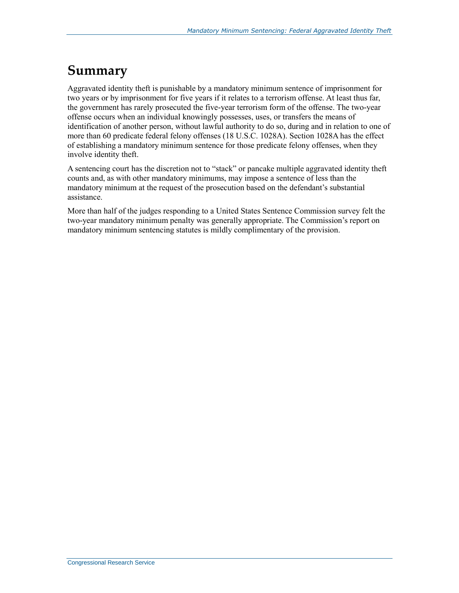# **Summary**

Aggravated identity theft is punishable by a mandatory minimum sentence of imprisonment for two years or by imprisonment for five years if it relates to a terrorism offense. At least thus far, the government has rarely prosecuted the five-year terrorism form of the offense. The two-year offense occurs when an individual knowingly possesses, uses, or transfers the means of identification of another person, without lawful authority to do so, during and in relation to one of more than 60 predicate federal felony offenses (18 U.S.C. 1028A). Section 1028A has the effect of establishing a mandatory minimum sentence for those predicate felony offenses, when they involve identity theft.

A sentencing court has the discretion not to "stack" or pancake multiple aggravated identity theft counts and, as with other mandatory minimums, may impose a sentence of less than the mandatory minimum at the request of the prosecution based on the defendant's substantial assistance.

More than half of the judges responding to a United States Sentence Commission survey felt the two-year mandatory minimum penalty was generally appropriate. The Commission's report on mandatory minimum sentencing statutes is mildly complimentary of the provision.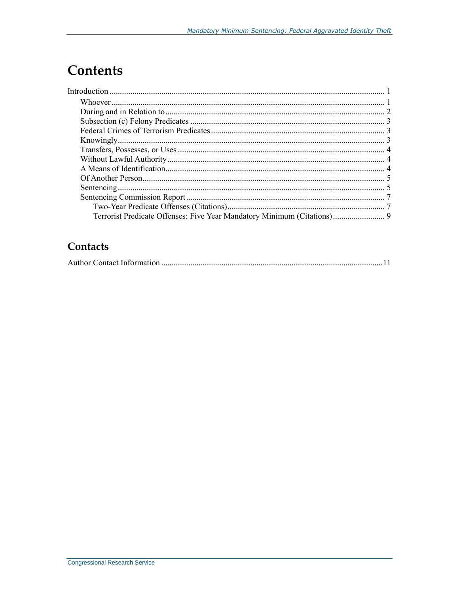# **Contents**

| Terrorist Predicate Offenses: Five Year Mandatory Minimum (Citations) 9 |  |
|-------------------------------------------------------------------------|--|

### Contacts

|--|--|--|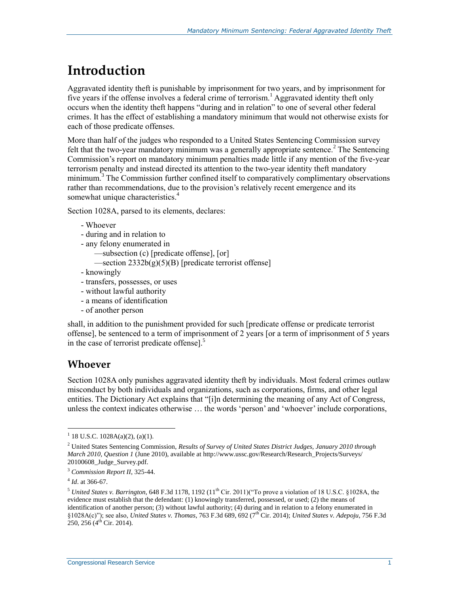# **Introduction**

Aggravated identity theft is punishable by imprisonment for two years, and by imprisonment for five years if the offense involves a federal crime of terrorism.<sup>1</sup> Aggravated identity theft only occurs when the identity theft happens "during and in relation" to one of several other federal crimes. It has the effect of establishing a mandatory minimum that would not otherwise exists for each of those predicate offenses.

More than half of the judges who responded to a United States Sentencing Commission survey felt that the two-year mandatory minimum was a generally appropriate sentence.<sup>2</sup> The Sentencing Commission's report on mandatory minimum penalties made little if any mention of the five-year terrorism penalty and instead directed its attention to the two-year identity theft mandatory minimum.<sup>3</sup> The Commission further confined itself to comparatively complimentary observations rather than recommendations, due to the provision's relatively recent emergence and its somewhat unique characteristics.<sup>4</sup>

Section 1028A, parsed to its elements, declares:

```
- Whoever
```

```
- during and in relation to
```
- any felony enumerated in
	- —subsection (c) [predicate offense], [or]
	- $\rightarrow$ section 2332b(g)(5)(B) [predicate terrorist offense]
- knowingly
- transfers, possesses, or uses
- without lawful authority
- a means of identification
- of another person

shall, in addition to the punishment provided for such [predicate offense or predicate terrorist offense], be sentenced to a term of imprisonment of 2 years [or a term of imprisonment of 5 years in the case of terrorist predicate offense].<sup>5</sup>

#### **Whoever**

Section 1028A only punishes aggravated identity theft by individuals. Most federal crimes outlaw misconduct by both individuals and organizations, such as corporations, firms, and other legal entities. The Dictionary Act explains that "[i]n determining the meaning of any Act of Congress, unless the context indicates otherwise … the words 'person' and 'whoever' include corporations,

 $1$  18 U.S.C. 1028A(a)(2), (a)(1).

<sup>2</sup> United States Sentencing Commission, *Results of Survey of United States District Judges, January 2010 through March 2010, Question 1* (June 2010), available at http://www.ussc.gov/Research/Research\_Projects/Surveys/ 20100608\_Judge\_Survey.pdf.

<sup>3</sup> *Commission Report II*, 325-44.

<sup>4</sup> *Id*. at 366-67.

 $^5$  *United States v. Barrington*, 648 F.3d 1178, 1192 (11<sup>th</sup> Cir. 2011)("To prove a violation of 18 U.S.C. §1028A, the evidence must establish that the defendant: (1) knowingly transferred, possessed, or used; (2) the means of identification of another person; (3) without lawful authority; (4) during and in relation to a felony enumerated in §1028A(c)"); see also, *United States v. Thomas*, 763 F.3d 689, 692 (7th Cir. 2014); *United States v. Adepoju*, 756 F.3d  $250, 256$  (4<sup>th</sup> Cir. 2014).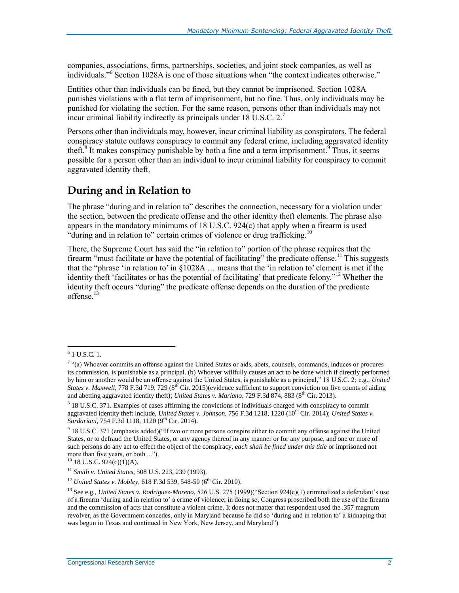companies, associations, firms, partnerships, societies, and joint stock companies, as well as individuals."<sup>6</sup> Section 1028A is one of those situations when "the context indicates otherwise."

Entities other than individuals can be fined, but they cannot be imprisoned. Section 1028A punishes violations with a flat term of imprisonment, but no fine. Thus, only individuals may be punished for violating the section. For the same reason, persons other than individuals may not incur criminal liability indirectly as principals under 18 U.S.C. 2.<sup>7</sup>

Persons other than individuals may, however, incur criminal liability as conspirators. The federal conspiracy statute outlaws conspiracy to commit any federal crime, including aggravated identity theft.<sup>8</sup> It makes conspiracy punishable by both a fine and a term imprisonment.<sup>9</sup> Thus, it seems possible for a person other than an individual to incur criminal liability for conspiracy to commit aggravated identity theft.

#### **During and in Relation to**

The phrase "during and in relation to" describes the connection, necessary for a violation under the section, between the predicate offense and the other identity theft elements. The phrase also appears in the mandatory minimums of 18 U.S.C. 924(c) that apply when a firearm is used "during and in relation to" certain crimes of violence or drug trafficking.<sup>10</sup>

There, the Supreme Court has said the "in relation to" portion of the phrase requires that the firearm "must facilitate or have the potential of facilitating" the predicate offense.<sup>11</sup> This suggests that the "phrase 'in relation to' in §1028A … means that the 'in relation to' element is met if the identity theft 'facilitates or has the potential of facilitating' that predicate felony."<sup>12</sup> Whether the identity theft occurs "during" the predicate offense depends on the duration of the predicate offense. $^{13}$ 

<sup>12</sup> *United States v. Mobley*, 618 F.3d 539, 548-50 (6<sup>th</sup> Cir. 2010).

<sup>&</sup>lt;sup>6</sup> 1 U.S.C. 1.

 $7$  "(a) Whoever commits an offense against the United States or aids, abets, counsels, commands, induces or procures its commission, is punishable as a principal. (b) Whoever willfully causes an act to be done which if directly performed by him or another would be an offense against the United States, is punishable as a principal," 18 U.S.C. 2; e.g., *United States v. Maxwell*, 778 F.3d 719, 729 (8<sup>th</sup> Cir. 2015)(evidence sufficient to support conviction on five counts of aiding and abetting aggravated identity theft); *United States v. Mariano*, 729 F.3d 874, 883 (8<sup>th</sup> Cir. 2013).

<sup>&</sup>lt;sup>8</sup> 18 U.S.C. 371. Examples of cases affirming the convictions of individuals charged with conspiracy to commit aggravated identity theft include, *United States v. Johnson*, 756 F.3d 1218, 1220 (10<sup>th</sup> Cir. 2014); *United States v.* Sardariani, 754 F.3d 1118, 1120 (9<sup>th</sup> Cir. 2014).

<sup>&</sup>lt;sup>9</sup> 18 U.S.C. 371 (emphasis added)("If two or more persons conspire either to commit any offense against the United States, or to defraud the United States, or any agency thereof in any manner or for any purpose, and one or more of such persons do any act to effect the object of the conspiracy, *each shall be fined under this title* or imprisoned not more than five years, or both ...").

 $10$  18 U.S.C. 924(c)(1)(A).

<sup>11</sup> *Smith v. United States*, 508 U.S. 223, 239 (1993).

<sup>13</sup> See e.g., *United States v. Rodriguez-Moreno*, 526 U.S. 275 (1999)("Section 924(c)(1) criminalized a defendant's use of a firearm 'during and in relation to' a crime of violence; in doing so, Congress proscribed both the use of the firearm and the commission of acts that constitute a violent crime. It does not matter that respondent used the .357 magnum revolver, as the Government concedes, only in Maryland because he did so 'during and in relation to' a kidnaping that was begun in Texas and continued in New York, New Jersey, and Maryland")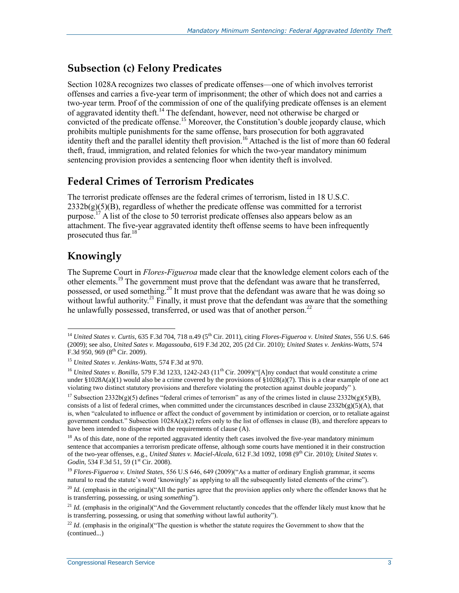#### **Subsection (c) Felony Predicates**

Section 1028A recognizes two classes of predicate offenses—one of which involves terrorist offenses and carries a five-year term of imprisonment; the other of which does not and carries a two-year term. Proof of the commission of one of the qualifying predicate offenses is an element of aggravated identity theft.<sup>14</sup> The defendant, however, need not otherwise be charged or convicted of the predicate offense.<sup>15</sup> Moreover, the Constitution's double jeopardy clause, which prohibits multiple punishments for the same offense, bars prosecution for both aggravated identity theft and the parallel identity theft provision.<sup>16</sup> Attached is the list of more than 60 federal theft, fraud, immigration, and related felonies for which the two-year mandatory minimum sentencing provision provides a sentencing floor when identity theft is involved.

#### **Federal Crimes of Terrorism Predicates**

The terrorist predicate offenses are the federal crimes of terrorism, listed in 18 U.S.C.  $2332b(g)(5)(B)$ , regardless of whether the predicate offense was committed for a terrorist purpose.<sup>17</sup> A list of the close to 50 terrorist predicate offenses also appears below as an attachment. The five-year aggravated identity theft offense seems to have been infrequently prosecuted thus far.<sup>18</sup>

### **Knowingly**

The Supreme Court in *Flores-Figueroa* made clear that the knowledge element colors each of the other elements.<sup>19</sup> The government must prove that the defendant was aware that he transferred, possessed, or used something.<sup>20</sup> It must prove that the defendant was aware that he was doing so without lawful authority.<sup>21</sup> Finally, it must prove that the defendant was aware that the something he unlawfully possessed, transferred, or used was that of another person.<sup>22</sup>

 $\overline{a}$ <sup>14</sup> *United States v. Curtis*, 635 F.3d 704, 718 n.49 (5<sup>th</sup> Cir. 2011), citing *Flores-Figueroa v. United States*, 556 U.S. 646 (2009); see also, *United Sates v. Magassouba*, 619 F.3d 202, 205 (2d Cir. 2010); *United States v. Jenkins-Watts*, 574  $F.3d$  950, 969 ( $8<sup>th</sup>$  Cir. 2009).

<sup>15</sup> *United States v. Jenkins-Watts*, 574 F.3d at 970.

<sup>&</sup>lt;sup>16</sup> *United States v. Bonilla*, 579 F.3d 1233, 1242-243 (11<sup>th</sup> Cir. 2009)("[A]ny conduct that would constitute a crime under §1028A(a)(1) would also be a crime covered by the provisions of §1028(a)(7). This is a clear example of one act violating two distinct statutory provisions and therefore violating the protection against double jeopardy" ).

<sup>&</sup>lt;sup>17</sup> Subsection 2332b(g)(5) defines "federal crimes of terrorism" as any of the crimes listed in clause 2332b(g)(5)(B), consists of a list of federal crimes, when committed under the circumstances described in clause  $2332b(g)(5)(A)$ , that is, when "calculated to influence or affect the conduct of government by intimidation or coercion, or to retaliate against government conduct." Subsection  $1028A(a)(2)$  refers only to the list of offenses in clause (B), and therefore appears to have been intended to dispense with the requirements of clause (A).

 $18$  As of this date, none of the reported aggravated identity theft cases involved the five-year mandatory minimum sentence that accompanies a terrorism predicate offense, although some courts have mentioned it in their construction of the two-year offenses, e.g., *United States v. Maciel-Alcala*, 612 F.3d 1092, 1098 (9<sup>th</sup> Cir. 2010); *United States v.* Godin, 534 F.3d 51, 59 (1<sup>st</sup> Cir. 2008).

<sup>&</sup>lt;sup>19</sup> *Flores-Figueroa v. United States*, 556 U.S 646, 649 (2009)("As a matter of ordinary English grammar, it seems natural to read the statute's word 'knowingly' as applying to all the subsequently listed elements of the crime").

<sup>&</sup>lt;sup>20</sup> *Id.* (emphasis in the original)("All the parties agree that the provision applies only where the offender knows that he is transferring, possessing, or using *something*").

<sup>&</sup>lt;sup>21</sup> *Id.* (emphasis in the original)("And the Government reluctantly concedes that the offender likely must know that he is transferring, possessing, or using that *something* without lawful authority").

 $^{22}$  *Id.* (emphasis in the original)("The question is whether the statute requires the Government to show that the (continued...)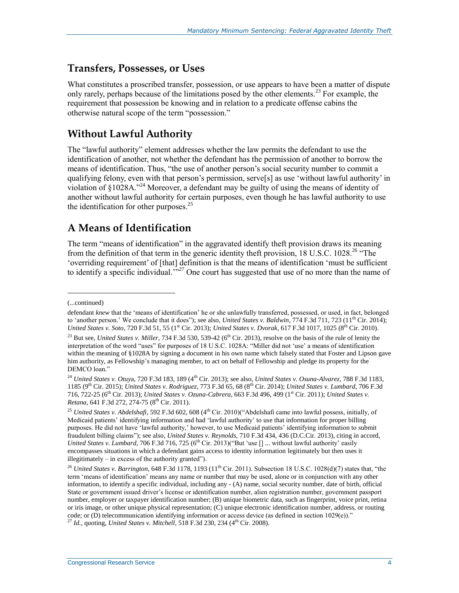#### **Transfers, Possesses, or Uses**

What constitutes a proscribed transfer, possession, or use appears to have been a matter of dispute only rarely, perhaps because of the limitations posed by the other elements.<sup>23</sup> For example, the requirement that possession be knowing and in relation to a predicate offense cabins the otherwise natural scope of the term "possession."

#### **Without Lawful Authority**

The "lawful authority" element addresses whether the law permits the defendant to use the identification of another, not whether the defendant has the permission of another to borrow the means of identification. Thus, "the use of another person's social security number to commit a qualifying felony, even with that person's permission, serve[s] as use 'without lawful authority' in violation of §1028A."<sup>24</sup> Moreover, a defendant may be guilty of using the means of identity of another without lawful authority for certain purposes, even though he has lawful authority to use the identification for other purposes. $25$ 

#### **A Means of Identification**

The term "means of identification" in the aggravated identify theft provision draws its meaning from the definition of that term in the generic identity theft provision, 18 U.S.C. 1028.<sup>26</sup> "The 'overriding requirement' of [that] definition is that the means of identification 'must be sufficient to identify a specific individual.<sup>77</sup> One court has suggested that use of no more than the name of

l

<sup>(...</sup>continued)

defendant *knew* that the 'means of identification' he or she unlawfully transferred, possessed, or used, in fact, belonged to 'another person.' We conclude that it does"); see also, *United States v. Baldwin*, 774 F.3d 711, 723 (11<sup>th</sup> Cir. 2014); *United States v. Soto*, 720 F.3d 51, 55 (1<sup>st</sup> Cir. 2013); *United States v. Dvorak*, 617 F.3d 1017, 1025 (8<sup>th</sup> Cir. 2010).

<sup>&</sup>lt;sup>23</sup> But see, *United States v. Miller*, 734 F.3d 530, 539-42 (6<sup>th</sup> Cir. 2013), resolve on the basis of the rule of lenity the interpretation of the word "uses" for purposes of 18 U.S.C. 1028A: "Miller did not 'use' a means of identification within the meaning of §1028A by signing a document in his own name which falsely stated that Foster and Lipson gave him authority, as Fellowship's managing member, to act on behalf of Fellowship and pledge its property for the DEMCO loan."

<sup>&</sup>lt;sup>24</sup> *United States v. Otuya, 720 F.3d 183, 189* (4<sup>th</sup> Cir. 2013); see also, *United States v. Osuna-Alvarez*, 788 F.3d 1183, 1185 (9th Cir. 2015); *United States v. Rodriguez*, 773 F.3d 65, 68 (8th Cir. 2014); *United States v. Lumbard*, 706 F.3d 716, 722-25 (6th Cir. 2013); *United States v. Ozuna-Cabrera*, 663 F.3d 496, 499 (1st Cir. 2011); *United States v. Retana*, 641 F.3d 272, 274-75 (8<sup>th</sup> Cir. 2011).

<sup>&</sup>lt;sup>25</sup> *United States v. Abdelshafi*, 592 F.3d 602, 608 (4<sup>th</sup> Cir. 2010)("Abdelshafi came into lawful possess, initially, of Medicaid patients' identifying information and had 'lawful authority' to use that information for proper billing purposes. He did not have 'lawful authority,' however, to use Medicaid patients' identifying information to submit fraudulent billing claims"); see also, *United States v. Reynolds*, 710 F.3d 434, 436 (D.C.Cir. 2013), citing in accord, *United States v. Lumbard*, 706 F.3d 716, 725 (6<sup>th</sup> Cir. 2013)("But 'use [] ... without lawful authority' easily encompasses situations in which a defendant gains access to identity information legitimately but then uses it illegitimately – in excess of the authority granted").

<sup>&</sup>lt;sup>26</sup> United States v. Barrington, 648 F.3d 1178, 1193 (11<sup>th</sup> Cir. 2011). Subsection 18 U.S.C. 1028(d)(7) states that, "the term 'means of identification' means any name or number that may be used, alone or in conjunction with any other information, to identify a specific individual, including any - (A) name, social security number, date of birth, official State or government issued driver's license or identification number, alien registration number, government passport number, employer or taxpayer identification number; (B) unique biometric data, such as fingerprint, voice print, retina or iris image, or other unique physical representation; (C) unique electronic identification number, address, or routing code; or (D) telecommunication identifying information or access device (as defined in section 1029(e))." <sup>27</sup> *Id.*, quoting, *United States v. Mitchell*, 518 F.3d 230, 234 (4<sup>th</sup> Cir. 2008).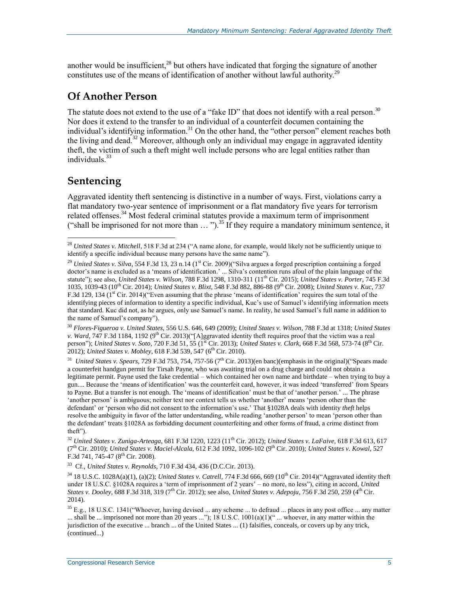another would be insufficient,<sup>28</sup> but others have indicated that forging the signature of another constitutes use of the means of identification of another without lawful authority.<sup>29</sup>

#### **Of Another Person**

The statute does not extend to the use of a "fake ID" that does not identify with a real person.<sup>30</sup> Nor does it extend to the transfer to an individual of a counterfeit documen containing the individual's identifying information.<sup>31</sup> On the other hand, the "other person" element reaches both the living and dead.<sup>32</sup> Moreover, although only an individual may engage in aggravated identity theft, the victim of such a theft might well include persons who are legal entities rather than individuals $33$ 

### **Sentencing**

 $\overline{a}$ 

Aggravated identity theft sentencing is distinctive in a number of ways. First, violations carry a flat mandatory two-year sentence of imprisonment or a flat mandatory five years for terrorism related offenses.<sup>34</sup> Most federal criminal statutes provide a maximum term of imprisonment ("shall be imprisoned for not more than  $\dots$ ").<sup>35</sup> If they require a mandatory minimum sentence, it

<sup>30</sup> *Flores-Figueroa v. United States*, 556 U.S. 646, 649 (2009); *United States v. Wilson*, 788 F.3d at 1318; *United States v. Ward*, 747 F.3d 1184, 1192 (9<sup>th</sup> Cir. 2013)("[A]ggravated identity theft requires proof that the victim was a real person"); *United States v. Soto*, 720 F.3d 51, 55 (1st Cir. 2013); *United States v. Clark*, 668 F.3d 568, 573-74 (8<sup>th</sup> Cir. 2012); *United States v. Mobley*, 618 F.3d 539, 547 (6th Cir. 2010).

<sup>31</sup> United States v. Spears, 729 F.3d 753, 754, 757-56 (7<sup>th</sup> Cir. 2013)(en banc)(emphasis in the original)("Spears made a counterfeit handgun permit for Tirsah Payne, who was awaiting trial on a drug charge and could not obtain a legitimate permit. Payne used the fake credential – which contained her own name and birthdate – when trying to buy a gun.... Because the 'means of identification' was the counterfeit card, however, it was indeed 'transferred' from Spears to Payne. But a transfer is not enough. The 'means of identification' must be that of 'another person.' ... The phrase 'another person' is ambiguous; neither text nor context tells us whether 'another' means 'person other than the defendant' or 'person who did not consent to the information's use.' That §1028A deals with identity *theft* helps resolve the ambiguity in favor of the latter understanding, while reading 'another person' to mean 'person other than the defendant' treats §1028A as forbidding document counterfeiting and other forms of fraud, a crime distinct from theft").

<sup>32</sup> *United States v. Zuniga-Arteaga*, 681 F.3d 1220, 1223 (11th Cir. 2012); *United States v. LaFaive*, 618 F.3d 613, 617 (7th Cir. 2010); *United States v. Maciel-Alcala*, 612 F.3d 1092, 1096-102 (9th Cir. 2010); *United States v. Kowal*, 527 F.3d 741, 745-47 (8<sup>th</sup> Cir. 2008).

33 Cf., *United States v. Reynolds*, 710 F.3d 434, 436 (D.C.Cir. 2013).

 $34\,18$  U.S.C. 1028A(a)(1), (a)(2); *United States v. Catrell*, 774 F.3d 666, 669 (10<sup>th</sup> Cir. 2014)("Aggravated identity theft under 18 U.S.C. §1028A requires a 'term of imprisonment of 2 years' – no more, no less"), citing in accord, *United States v. Dooley*, 688 F.3d 318, 319 (7th Cir. 2012); see also, *United States v. Adepoju*, 756 F.3d 250, 259 (4th Cir. 2014).

 $35$  E.g., 18 U.S.C. 1341("Whoever, having devised ... any scheme ... to defraud ... places in any post office ... any matter ... shall be ... imprisoned not more than 20 years ..."); 18 U.S.C. 1001(a)(1)(" ... whoever, in any matter within the jurisdiction of the executive ... branch ... of the United States ... (1) falsifies, conceals, or covers up by any trick, (continued...)

<sup>28</sup> *United States v. Mitchell*, 518 F.3d at 234 ("A name alone, for example, would likely not be sufficiently unique to identify a specific individual because many persons have the same name").

<sup>&</sup>lt;sup>29</sup> *United States v. Silva*, 554 F.3d 13, 23 n.14 (1<sup>st</sup> Cir. 2009)("Silva argues a forged prescription containing a forged doctor's name is excluded as a 'means of identification.' ... Silva's contention runs afoul of the plain language of the statute"); see also, *United States v. Wilson*, 788 F.3d 1298, 1310-311 (11<sup>th</sup> Cir. 2015); *United States v. Porter*, 745 F.3d 1035, 1039-43 (10th Cir. 2014); *United States v. Blixt*, 548 F.3d 882, 886-88 (9th Cir. 2008); *United States v. Kuc*, 737 F.3d 129, 134 (1<sup>st</sup> Cir. 2014)("Even assuming that the phrase 'means of identification' requires the sum total of the identifying pieces of information to identity a specific individual, Kuc's use of Samuel's identifying information meets that standard. Kuc did not, as he argues, only use Samuel's name. In reality, he used Samuel's full name in addition to the name of Samuel's company").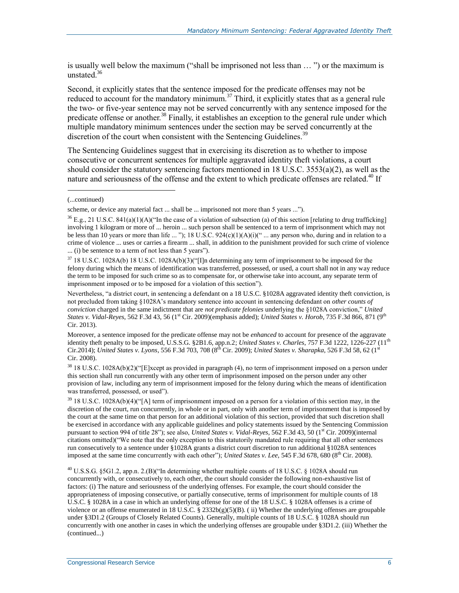is usually well below the maximum ("shall be imprisoned not less than … ") or the maximum is unstated.<sup>36</sup>

Second, it explicitly states that the sentence imposed for the predicate offenses may not be reduced to account for the mandatory minimum.<sup>37</sup> Third, it explicitly states that as a general rule the two- or five-year sentence may not be served concurrently with any sentence imposed for the predicate offense or another.<sup>38</sup> Finally, it establishes an exception to the general rule under which multiple mandatory minimum sentences under the section may be served concurrently at the discretion of the court when consistent with the Sentencing Guidelines.<sup>39</sup>

The Sentencing Guidelines suggest that in exercising its discretion as to whether to impose consecutive or concurrent sentences for multiple aggravated identity theft violations, a court should consider the statutory sentencing factors mentioned in 18 U.S.C. 3553(a)(2), as well as the nature and seriousness of the offense and the extent to which predicate offenses are related.<sup>40</sup> If

l

 $3718$  U.S.C. 1028A(b) 18 U.S.C. 1028A(b)(3)("[I]n determining any term of imprisonment to be imposed for the felony during which the means of identification was transferred, possessed, or used, a court shall not in any way reduce the term to be imposed for such crime so as to compensate for, or otherwise take into account, any separate term of imprisonment imposed or to be imposed for a violation of this section").

Nevertheless, "a district court, in sentencing a defendant on a 18 U.S.C. §1028A aggravated identity theft conviction, is not precluded from taking §1028A's mandatory sentence into account in sentencing defendant on *other counts of conviction* charged in the same indictment that are *not predicate felonies* underlying the §1028A conviction," *United States v. Vidal-Reyes*, 562 F.3d 43, 56 (1<sup>st</sup> Cir. 2009)(emphasis added); *United States v. Horob*, 735 F.3d 866, 871 (9<sup>th</sup> Cir. 2013).

Moreover, a sentence imposed for the predicate offense may not be *enhanced* to account for presence of the aggravate identity theft penalty to be imposed, U.S.S.G. §2B1.6, app.n.2; *United States v. Charles*, 757 F.3d 1222, 1226-227 (11<sup>th</sup> Cir.2014); *United States v. Lyons*, 556 F.3d 703, 708 (8th Cir. 2009); *United States v. Sharapka*, 526 F.3d 58, 62 (1st Cir. 2008).

<sup>38</sup> 18 U.S.C. 1028A(b)(2)("[E]xcept as provided in paragraph (4), no term of imprisonment imposed on a person under this section shall run concurrently with any other term of imprisonment imposed on the person under any other provision of law, including any term of imprisonment imposed for the felony during which the means of identification was transferred, possessed, or used").

<sup>39</sup> 18 U.S.C. 1028A(b)(4)("[A] term of imprisonment imposed on a person for a violation of this section may, in the discretion of the court, run concurrently, in whole or in part, only with another term of imprisonment that is imposed by the court at the same time on that person for an additional violation of this section, provided that such discretion shall be exercised in accordance with any applicable guidelines and policy statements issued by the Sentencing Commission pursuant to section 994 of title 28"); see also, *United States v. Vidal-Reyes*, 562 F.3d 43, 50 (1<sup>st</sup> Cir. 2009)(internal citations omitted)("We note that the only exception to this statutorily mandated rule requiring that all other sentences run consecutively to a sentence under §1028A grants a district court discretion to run additional §1028A sentences imposed at the same time concurrently with each other"); *United States v. Lee*, 545 F.3d 678, 680 (8<sup>th</sup> Cir. 2008).

<sup>40</sup> U.S.S.G. §5G1.2, app.n. 2.(B)("In determining whether multiple counts of 18 U.S.C. § 1028A should run concurrently with, or consecutively to, each other, the court should consider the following non-exhaustive list of factors: (i) The nature and seriousness of the underlying offenses. For example, the court should consider the appropriateness of imposing consecutive, or partially consecutive, terms of imprisonment for multiple counts of 18 U.S.C. § 1028A in a case in which an underlying offense for one of the 18 U.S.C. § 1028A offenses is a crime of violence or an offense enumerated in 18 U.S.C. § 2332b(g)(5)(B). (ii) Whether the underlying offenses are groupable under §3D1.2 (Groups of Closely Related Counts). Generally, multiple counts of 18 U.S.C. § 1028A should run concurrently with one another in cases in which the underlying offenses are groupable under §3D1.2. (iii) Whether the (continued...)

<sup>(...</sup>continued)

scheme, or device any material fact ... shall be ... imprisoned not more than 5 years ...").

 $^{36}$  E.g., 21 U.S.C. 841(a)(1)(A)("In the case of a violation of subsection (a) of this section [relating to drug trafficking] involving 1 kilogram or more of ... heroin ... such person shall be sentenced to a term of imprisonment which may not be less than 10 years or more than life ... "); 18 U.S.C.  $924(c)(1)(A)(i)$ (" ... any person who, during and in relation to a crime of violence ... uses or carries a firearm ... shall, in addition to the punishment provided for such crime of violence ... (i) be sentence to a term of not less than 5 years").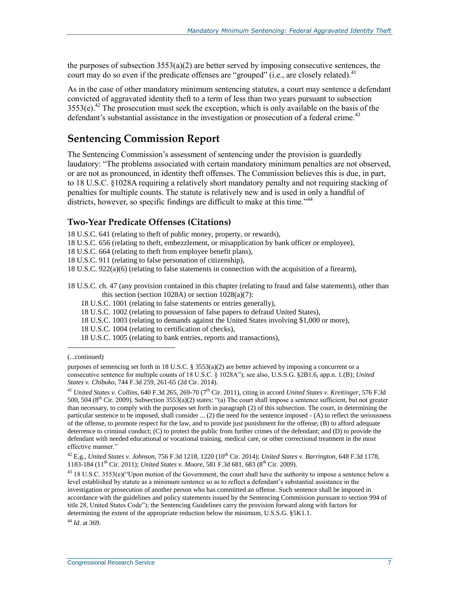the purposes of subsection  $3553(a)(2)$  are better served by imposing consecutive sentences, the court may do so even if the predicate offenses are "grouped" (i.e., are closely related).<sup>41</sup>

As in the case of other mandatory minimum sentencing statutes, a court may sentence a defendant convicted of aggravated identity theft to a term of less than two years pursuant to subsection  $3553(e)^{42}$  The prosecution must seek the exception, which is only available on the basis of the defendant's substantial assistance in the investigation or prosecution of a federal crime.<sup>43</sup>

#### **Sentencing Commission Report**

The Sentencing Commission's assessment of sentencing under the provision is guardedly laudatory: "The problems associated with certain mandatory minimum penalties are not observed, or are not as pronounced, in identity theft offenses. The Commission believes this is due, in part, to 18 U.S.C. §1028A requiring a relatively short mandatory penalty and not requiring stacking of penalties for multiple counts. The statute is relatively new and is used in only a handful of districts, however, so specific findings are difficult to make at this time."<sup>44</sup>

#### **Two-Year Predicate Offenses (Citations)**

18 U.S.C. 641 (relating to theft of public money, property, or rewards),

18 U.S.C. 656 (relating to theft, embezzlement, or misapplication by bank officer or employee),

18 U.S.C. 664 (relating to theft from employee benefit plans),

18 U.S.C. 911 (relating to false personation of citizenship),

18 U.S.C. 922(a)(6) (relating to false statements in connection with the acquisition of a firearm),

18 U.S.C. ch. 47 (any provision contained in this chapter (relating to fraud and false statements), other than this section (section 1028A) or section 1028(a)(7):

18 U.S.C. 1001 (relating to false statements or entries generally),

18 U.S.C. 1002 (relating to possession of false papers to defraud United States),

18 U.S.C. 1003 (relating to demands against the United States involving \$1,000 or more),

18 U.S.C. 1004 (relating to certification of checks),

18 U.S.C. 1005 (relating to bank entries, reports and transactions),

(...continued)

l

purposes of sentencing set forth in 18 U.S.C. § 3553(a)(2) are better achieved by imposing a concurrent or a consecutive sentence for multiple counts of 18 U.S.C. § 1028A"); see also, U.S.S.G. §2B1.6, app.n. 1.(B); *United States v. Chibuko*, 744 F.3d 259, 261-65 (2d Cir. 2014).

<sup>41</sup> *United States v. Collins*, 640 F.3d 265, 269-70 (7th Cir. 2011), citing in accord *United States v. Kreitinger*, 576 F.3d 500, 504 ( $8<sup>th</sup>$  Cir. 2009). Subsection 3553(a)(2) states: "(a) The court shall impose a sentence sufficient, but not greater than necessary, to comply with the purposes set forth in paragraph (2) of this subsection. The court, in determining the particular sentence to be imposed, shall consider ... (2) the need for the sentence imposed - (A) to reflect the seriousness of the offense, to promote respect for the law, and to provide just punishment for the offense; (B) to afford adequate deterrence to criminal conduct; (C) to protect the public from further crimes of the defendant; and (D) to provide the defendant with needed educational or vocational training, medical care, or other correctional treatment in the most effective manner."

 $^{42}$  E.g., *United States v. Johnson*, 756 F.3d 1218, 1220 (10<sup>th</sup> Cir. 2014); *United States v. Barrington*, 648 F.3d 1178, 1183-184 (11<sup>th</sup> Cir. 2011); *United States v. Moore*, 581 F.3d 681, 683 (8<sup>th</sup> Cir. 2009).

<sup>43</sup> 18 U.S.C. 3553(e)("Upon motion of the Government, the court shall have the authority to impose a sentence below a level established by statute as a minimum sentence so as to reflect a defendant's substantial assistance in the investigation or prosecution of another person who has committed an offense. Such sentence shall be imposed in accordance with the guidelines and policy statements issued by the Sentencing Commission pursuant to section 994 of title 28, United States Code"); the Sentencing Guidelines carry the provision forward along with factors for determining the extent of the appropriate reduction below the minimum, U.S.S.G. §5K1.1.

<sup>44</sup> *Id*. at 369.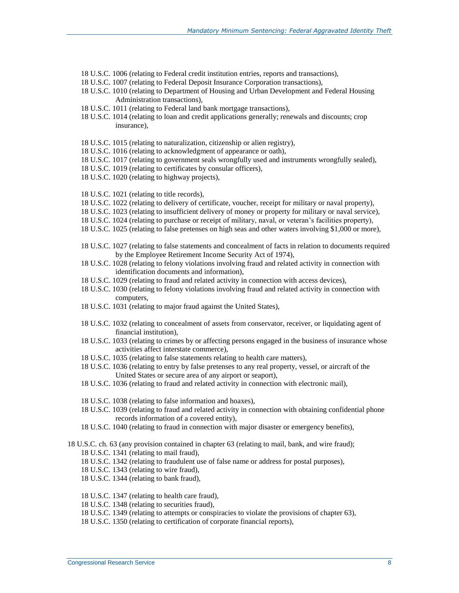- 18 U.S.C. 1006 (relating to Federal credit institution entries, reports and transactions),
- 18 U.S.C. 1007 (relating to Federal Deposit Insurance Corporation transactions),
- 18 U.S.C. 1010 (relating to Department of Housing and Urban Development and Federal Housing Administration transactions),
- 18 U.S.C. 1011 (relating to Federal land bank mortgage transactions),
- 18 U.S.C. 1014 (relating to loan and credit applications generally; renewals and discounts; crop insurance),
- 18 U.S.C. 1015 (relating to naturalization, citizenship or alien registry),
- 18 U.S.C. 1016 (relating to acknowledgment of appearance or oath),
- 18 U.S.C. 1017 (relating to government seals wrongfully used and instruments wrongfully sealed),
- 18 U.S.C. 1019 (relating to certificates by consular officers),
- 18 U.S.C. 1020 (relating to highway projects),
- 18 U.S.C. 1021 (relating to title records),
- 18 U.S.C. 1022 (relating to delivery of certificate, voucher, receipt for military or naval property),
- 18 U.S.C. 1023 (relating to insufficient delivery of money or property for military or naval service),
- 18 U.S.C. 1024 (relating to purchase or receipt of military, naval, or veteran's facilities property),
- 18 U.S.C. 1025 (relating to false pretenses on high seas and other waters involving \$1,000 or more),
- 18 U.S.C. 1027 (relating to false statements and concealment of facts in relation to documents required by the Employee Retirement Income Security Act of 1974),
- 18 U.S.C. 1028 (relating to felony violations involving fraud and related activity in connection with identification documents and information),
- 18 U.S.C. 1029 (relating to fraud and related activity in connection with access devices),
- 18 U.S.C. 1030 (relating to felony violations involving fraud and related activity in connection with computers,
- 18 U.S.C. 1031 (relating to major fraud against the United States),
- 18 U.S.C. 1032 (relating to concealment of assets from conservator, receiver, or liquidating agent of financial institution),
- 18 U.S.C. 1033 (relating to crimes by or affecting persons engaged in the business of insurance whose activities affect interstate commerce),
- 18 U.S.C. 1035 (relating to false statements relating to health care matters),
- 18 U.S.C. 1036 (relating to entry by false pretenses to any real property, vessel, or aircraft of the United States or secure area of any airport or seaport),
- 18 U.S.C. 1036 (relating to fraud and related activity in connection with electronic mail),
- 18 U.S.C. 1038 (relating to false information and hoaxes),
- 18 U.S.C. 1039 (relating to fraud and related activity in connection with obtaining confidential phone records information of a covered entity),
- 18 U.S.C. 1040 (relating to fraud in connection with major disaster or emergency benefits),

18 U.S.C. ch. 63 (any provision contained in chapter 63 (relating to mail, bank, and wire fraud); 18 U.S.C. 1341 (relating to mail fraud),

- 
- 18 U.S.C. 1342 (relating to fraudulent use of false name or address for postal purposes),
- 18 U.S.C. 1343 (relating to wire fraud),
- 18 U.S.C. 1344 (relating to bank fraud),
- 18 U.S.C. 1347 (relating to health care fraud),
- 18 U.S.C. 1348 (relating to securities fraud),
- 18 U.S.C. 1349 (relating to attempts or conspiracies to violate the provisions of chapter 63),
- 18 U.S.C. 1350 (relating to certification of corporate financial reports),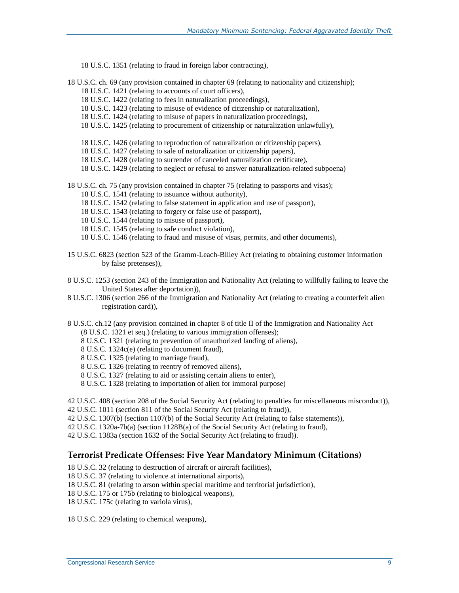- 18 U.S.C. 1351 (relating to fraud in foreign labor contracting),
- 18 U.S.C. ch. 69 (any provision contained in chapter 69 (relating to nationality and citizenship);
	- 18 U.S.C. 1421 (relating to accounts of court officers),
	- 18 U.S.C. 1422 (relating to fees in naturalization proceedings),
	- 18 U.S.C. 1423 (relating to misuse of evidence of citizenship or naturalization),
	- 18 U.S.C. 1424 (relating to misuse of papers in naturalization proceedings),
	- 18 U.S.C. 1425 (relating to procurement of citizenship or naturalization unlawfully),
	- 18 U.S.C. 1426 (relating to reproduction of naturalization or citizenship papers),
	- 18 U.S.C. 1427 (relating to sale of naturalization or citizenship papers),
	- 18 U.S.C. 1428 (relating to surrender of canceled naturalization certificate),
	- 18 U.S.C. 1429 (relating to neglect or refusal to answer naturalization-related subpoena)

18 U.S.C. ch. 75 (any provision contained in chapter 75 (relating to passports and visas);

- 18 U.S.C. 1541 (relating to issuance without authority),
- 18 U.S.C. 1542 (relating to false statement in application and use of passport),
- 18 U.S.C. 1543 (relating to forgery or false use of passport),
- 18 U.S.C. 1544 (relating to misuse of passport),
- 18 U.S.C. 1545 (relating to safe conduct violation),
- 18 U.S.C. 1546 (relating to fraud and misuse of visas, permits, and other documents),
- 15 U.S.C. 6823 (section 523 of the Gramm-Leach-Bliley Act (relating to obtaining customer information by false pretenses)),
- 8 U.S.C. 1253 (section 243 of the Immigration and Nationality Act (relating to willfully failing to leave the United States after deportation)),
- 8 U.S.C. 1306 (section 266 of the Immigration and Nationality Act (relating to creating a counterfeit alien registration card)),
- 8 U.S.C. ch.12 (any provision contained in chapter 8 of title II of the Immigration and Nationality Act (8 U.S.C. 1321 et seq.) (relating to various immigration offenses);
	- 8 U.S.C. 1321 (relating to prevention of unauthorized landing of aliens),
	- 8 U.S.C. 1324c(e) (relating to document fraud),
	- 8 U.S.C. 1325 (relating to marriage fraud),
	- 8 U.S.C. 1326 (relating to reentry of removed aliens),
	- 8 U.S.C. 1327 (relating to aid or assisting certain aliens to enter),
	- 8 U.S.C. 1328 (relating to importation of alien for immoral purpose)

42 U.S.C. 408 (section 208 of the Social Security Act (relating to penalties for miscellaneous misconduct)),

- 42 U.S.C. 1011 (section 811 of the Social Security Act (relating to fraud)),
- 42 U.S.C. 1307(b) (section 1107(b) of the Social Security Act (relating to false statements)),
- 42 U.S.C. 1320a-7b(a) (section 1128B(a) of the Social Security Act (relating to fraud),
- 42 U.S.C. 1383a (section 1632 of the Social Security Act (relating to fraud)).

#### **Terrorist Predicate Offenses: Five Year Mandatory Minimum (Citations)**

- 18 U.S.C. 32 (relating to destruction of aircraft or aircraft facilities),
- 18 U.S.C. 37 (relating to violence at international airports),
- 18 U.S.C. 81 (relating to arson within special maritime and territorial jurisdiction),
- 18 U.S.C. 175 or 175b (relating to biological weapons),
- 18 U.S.C. 175c (relating to variola virus),

18 U.S.C. 229 (relating to chemical weapons),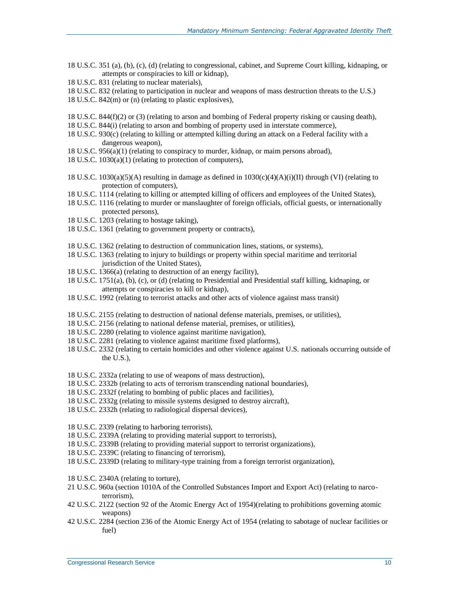- 18 U.S.C. 351 (a), (b), (c), (d) (relating to congressional, cabinet, and Supreme Court killing, kidnaping, or attempts or conspiracies to kill or kidnap),
- 18 U.S.C. 831 (relating to nuclear materials),
- 18 U.S.C. 832 (relating to participation in nuclear and weapons of mass destruction threats to the U.S.)
- 18 U.S.C. 842(m) or (n) (relating to plastic explosives),
- 18 U.S.C. 844(f)(2) or (3) (relating to arson and bombing of Federal property risking or causing death),
- 18 U.S.C. 844(i) (relating to arson and bombing of property used in interstate commerce),
- 18 U.S.C. 930(c) (relating to killing or attempted killing during an attack on a Federal facility with a dangerous weapon),
- 18 U.S.C. 956(a)(1) (relating to conspiracy to murder, kidnap, or maim persons abroad),
- 18 U.S.C. 1030(a)(1) (relating to protection of computers),
- 18 U.S.C. 1030(a)(5)(A) resulting in damage as defined in  $1030(c)(4)(A)(i)(II)$  through (VI) (relating to protection of computers),
- 18 U.S.C. 1114 (relating to killing or attempted killing of officers and employees of the United States),
- 18 U.S.C. 1116 (relating to murder or manslaughter of foreign officials, official guests, or internationally protected persons),
- 18 U.S.C. 1203 (relating to hostage taking),
- 18 U.S.C. 1361 (relating to government property or contracts),
- 18 U.S.C. 1362 (relating to destruction of communication lines, stations, or systems),
- 18 U.S.C. 1363 (relating to injury to buildings or property within special maritime and territorial jurisdiction of the United States),
- 18 U.S.C. 1366(a) (relating to destruction of an energy facility),
- 18 U.S.C. 1751(a), (b), (c), or (d) (relating to Presidential and Presidential staff killing, kidnaping, or attempts or conspiracies to kill or kidnap),
- 18 U.S.C. 1992 (relating to terrorist attacks and other acts of violence against mass transit)
- 18 U.S.C. 2155 (relating to destruction of national defense materials, premises, or utilities),
- 18 U.S.C. 2156 (relating to national defense material, premises, or utilities),
- 18 U.S.C. 2280 (relating to violence against maritime navigation),
- 18 U.S.C. 2281 (relating to violence against maritime fixed platforms),
- 18 U.S.C. 2332 (relating to certain homicides and other violence against U.S. nationals occurring outside of the U.S.),
- 18 U.S.C. 2332a (relating to use of weapons of mass destruction),
- 18 U.S.C. 2332b (relating to acts of terrorism transcending national boundaries),
- 18 U.S.C. 2332f (relating to bombing of public places and facilities),
- 18 U.S.C. 2332g (relating to missile systems designed to destroy aircraft),
- 18 U.S.C. 2332h (relating to radiological dispersal devices),
- 18 U.S.C. 2339 (relating to harboring terrorists),
- 18 U.S.C. 2339A (relating to providing material support to terrorists),
- 18 U.S.C. 2339B (relating to providing material support to terrorist organizations),
- 18 U.S.C. 2339C (relating to financing of terrorism),
- 18 U.S.C. 2339D (relating to military-type training from a foreign terrorist organization),
- 18 U.S.C. 2340A (relating to torture),
- 21 U.S.C. 960a (section 1010A of the Controlled Substances Import and Export Act) (relating to narcoterrorism),
- 42 U.S.C. 2122 (section 92 of the Atomic Energy Act of 1954)(relating to prohibitions governing atomic weapons)
- 42 U.S.C. 2284 (section 236 of the Atomic Energy Act of 1954 (relating to sabotage of nuclear facilities or fuel)